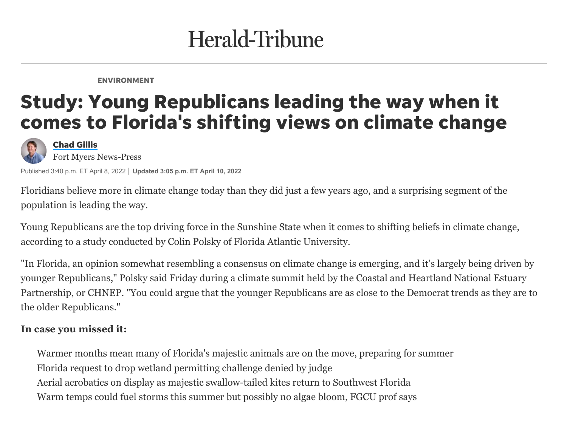## Herald-Tribune

ENVIRONMENT

## Study: Young Republicans leading the way when it comes to Florida's shifting views on climate change



[Chad](https://www.news-press.com/staff/2648135001/chad-gillis/) Gillis

Fort Myers News-Press

Published 3:40 p.m. ET April 8, 2022 **Updated 3:05 p.m. ET April 10, 2022**

Floridians believe more in climate change today than they did just a few years ago, and a surprising segment of the population is leading the way.

Young Republicans are the top driving force in the Sunshine State when it comes to shifting beliefs in [climate change](https://www.heraldtribune.com/story/weather/2022/04/07/climate-change-summit-highlights-florida-weather-changes-challenges/9485523002/), according to a study conducted by Colin Polsky of [Florida Atlantic University.](http://www.ces.fau.edu/)

"In Florida, an opinion somewhat resembling a consensus on climate change is emerging, and it's largely being driven by younger Republicans," Polsky said Friday during a climate summit held by the Coastal and Heartland National Estuary [Partnership, or CHNEP. "You could argue that the younger Republicans are as close to the Democrat trends as they are](https://www.chnep.org/) to the older Republicans."

## **In case you missed it:**

[Warmer months mean many of Florida's majestic animals are on the move, preparing for summer](https://www.heraldtribune.com/story/news/local/environment/2022/04/05/warm-spring-weather-means-animals-wildlife-move-southwest-florida/7272500001/) [Florida request to drop wetland permitting challenge denied by judge](https://www.heraldtribune.com/story/tech/science/environment/2022/04/01/wetland-destruction-permitting-denied-judge-florida-earthjustice-environment/7231623001/) [Aerial acrobatics on display as majestic swallow-tailed kites return to Southwest Florida](https://www.heraldtribune.com/story/tech/science/environment/2022/03/23/majestic-swallow-tailed-kites-back-southwest-florida-breeding-season/7125140001/) [Warm temps could fuel storms this summer but possibly no algae bloom, FGCU prof says](https://www.heraldtribune.com/story/news/local/2022/03/27/warm-florida-gulf-lake-okeechobee-waters-may-fuel-storms-algae-bloom/7152514001/)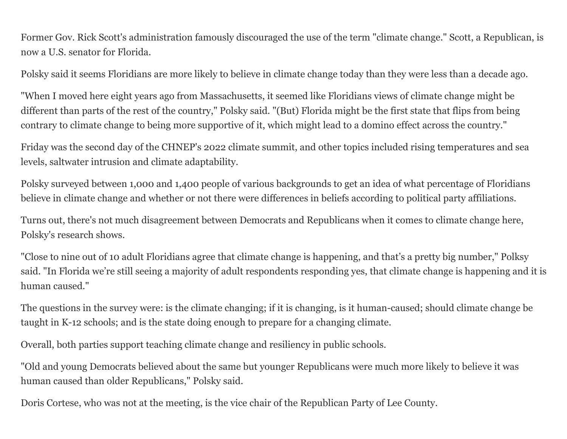Former Gov. Rick Scott's administration famously discouraged the use of the term "climate change." Scott, a Republican, is now a U.S. senator for Florida.

Polsky said it seems Floridians are more likely to believe in climate change today than they were less than a decade ago.

"When I moved here eight years ago from Massachusetts, it seemed like Floridians views of climate change might be different than parts of the rest of the country," Polsky said. "(But) Florida might be the first state that flips from being contrary to climate change to being more supportive of it, which might lead to a domino effect across the country."

Friday was the second day of the CHNEP's 2022 climate summit, and other topics included rising temperatures and sea levels, saltwater intrusion and climate adaptability.

Polsky surveyed between 1,000 and 1,400 people of various backgrounds to get an idea of what percentage of Floridians believe in climate change and whether or not there were differences in beliefs according to political party affiliations.

Turns out, there's not much disagreement between Democrats and Republicans when it comes to climate change here, Polsky's research shows.

"Close to nine out of 10 adult Floridians agree that climate change is happening, and that's a pretty big number," Polksy said. "In Florida we're still seeing a majority of adult respondents responding yes, that climate change is happening and it is human caused."

The questions in the survey were: is the climate changing; if it is changing, is it human-caused; should climate change be taught in K-12 schools; and is the state doing enough to prepare for a changing climate.

Overall, both parties support teaching climate change and resiliency in public schools.

"Old and young Democrats believed about the same but younger Republicans were much more likely to believe it was human caused than older Republicans," Polsky said.

Doris Cortese, who was not at the meeting, is the vice chair of the Republican Party of Lee County.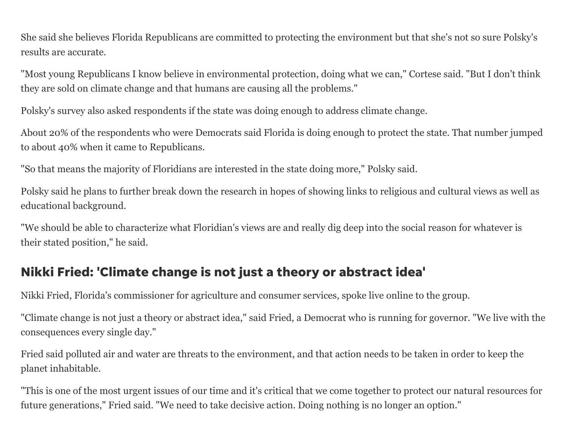She said she believes Florida Republicans are committed to protecting the environment but that she's not so sure Polsky's results are accurate.

"Most young Republicans I know believe in environmental protection, doing what we can," Cortese said. "But I don't think they are sold on climate change and that humans are causing all the problems."

Polsky's survey also asked respondents if the state was doing enough to address climate change.

About 20% of the respondents who were Democrats said Florida is doing enough to protect the state. That number jumped to about 40% when it came to Republicans.

"So that means the majority of Floridians are interested in the state doing more," Polsky said.

Polsky said he plans to further break down the research in hopes of showing links to religious and cultural views as well as educational background.

"We should be able to characterize what Floridian's views are and really dig deep into the social reason for whatever is their stated position," he said.

## Nikki Fried: 'Climate change is not just a theory or abstract idea'

Nikki Fried, Florida's commissioner for agriculture and consumer services, spoke live online to the group.

"Climate change is not just a theory or abstract idea," said Fried, a Democrat who is running for governor. "We live with the consequences every single day."

Fried said polluted air and water are threats to the environment, and that action needs to be taken in order to keep the planet inhabitable.

"This is one of the most urgent issues of our time and it's critical that we come together to protect our natural resources for future generations," Fried said. "We need to take decisive action. Doing nothing is no longer an option."